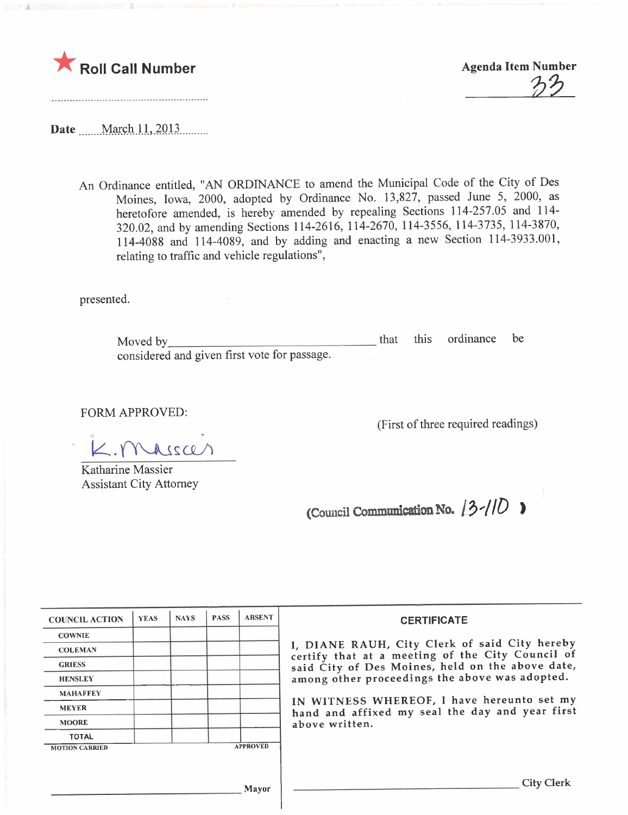

 $\partial\mathcal{D}$ 

Date \_\_\_\_\_March 11, 2013

An Ordinance entitled, "AN ORDINANCE to amend the Municipal Code of the City of Des Moines, Iowa, 2000, adopted by Ordinance No. 13,827, passed June 5, 2000, as heretofore amended, is hereby amended by repealing Sections 114-257.05 and 114- 320.02, and by amending Sections 114-2616, 114-2670, 114-3556, 114-3735, 114-3870, 114-4088 and 114-4089, and by adding and enacting a new Section 114-3933.001, relating to traffic and vehicle regulations",

presented.

Moved by considered and given first vote for passage. that this ordinance be

FORM APPROVED:

 $K.$  Massar

Katharine Massier Assistant City Attorney

(First of three required readings)

(Council Communication No.  $13$ - $10$ )

| <b>COUNCIL ACTION</b>                    | <b>YEAS</b> | <b>NAYS</b> | <b>PASS</b> | <b>ABSENT</b> | <b>CERTIFICATE</b>                                                                                                                                                                                                                                                                                                         |
|------------------------------------------|-------------|-------------|-------------|---------------|----------------------------------------------------------------------------------------------------------------------------------------------------------------------------------------------------------------------------------------------------------------------------------------------------------------------------|
| <b>COWNIE</b>                            |             |             |             |               | I, DIANE RAUH, City Clerk of said City hereby<br>certify that at a meeting of the City Council of<br>said City of Des Moines, held on the above date,<br>among other proceedings the above was adopted.<br>IN WITNESS WHEREOF, I have hereunto set my<br>hand and affixed my seal the day and year first<br>above written. |
| <b>COLEMAN</b>                           |             |             |             |               |                                                                                                                                                                                                                                                                                                                            |
| <b>GRIESS</b>                            |             |             |             |               |                                                                                                                                                                                                                                                                                                                            |
| <b>HENSLEY</b>                           |             |             |             |               |                                                                                                                                                                                                                                                                                                                            |
| <b>MAHAFFEY</b>                          |             |             |             |               |                                                                                                                                                                                                                                                                                                                            |
| <b>MEYER</b>                             |             |             |             |               |                                                                                                                                                                                                                                                                                                                            |
| <b>MOORE</b>                             |             |             |             |               |                                                                                                                                                                                                                                                                                                                            |
| <b>TOTAL</b>                             |             |             |             |               |                                                                                                                                                                                                                                                                                                                            |
| <b>APPROVED</b><br><b>MOTION CARRIED</b> |             |             |             |               |                                                                                                                                                                                                                                                                                                                            |
|                                          |             |             |             |               |                                                                                                                                                                                                                                                                                                                            |
|                                          |             |             |             | Mayor         | <b>City Clerk</b>                                                                                                                                                                                                                                                                                                          |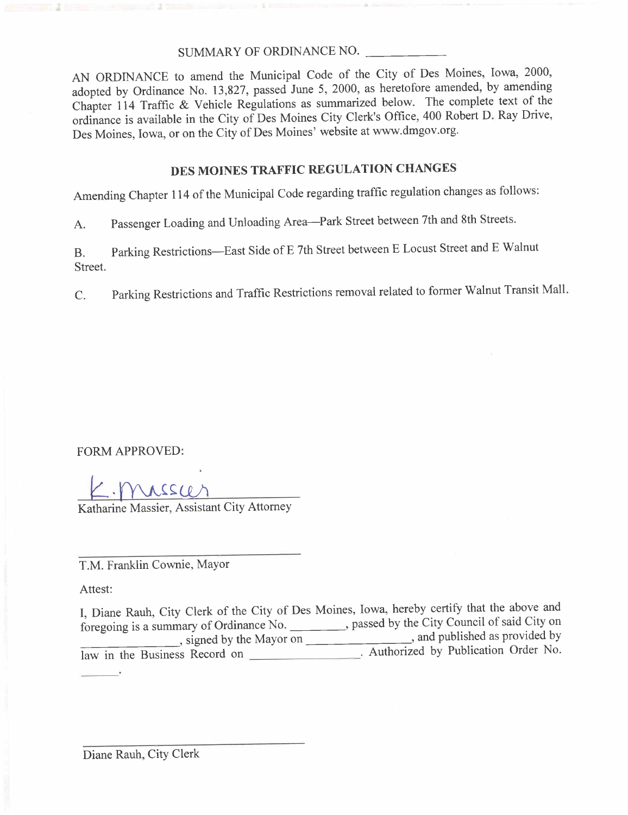#### SUMMARY OF ORDINANCE NO.

AN ORDINANCE to amend the Municipal Code of the City of Des Moines, Iowa, 2000, adopted by Ordinance No. 13,827, passed June 5, 2000, as heretofore amended, by amending Chapter 114 Traffic & Vehicle Regulations as summarized below. The complete text of the ordinance is available in the City of Des Moines City Clerk's Office, 400 Robert D. Ray Drive, Des Moines, Iowa, or on the City of Des Moines' website at ww.dmgov.org.

#### DES MOINES TRAFFIC REGULATION CHANGES

Amending Chapter 114 of the Municipal Code regarding traffic regulation changes as follows:

A. Passenger Loading and Unloading Area-Park Street between 7th and 8th Streets.

B. Parking Restrictions-East Side of E 7th Street between E Locust Street and E Walnut Street.

C. Parking Restrictions and Traffic Restrictions removal related to former Walnut Transit Mall.

FORM APPROVED:

· Mussur

Katharine Massier, Assistant City Attorney

T.M. Franklin Cownie, Mayor

Attest:

I, Diane Rauh, City Clerk of the City of Des Moines, Iowa, hereby certify that the above and foregoing is a summary of Ordinance No. \_\_\_\_\_\_\_\_, passed by the City Council of said City on , signed by the Mayor on  $\frac{1}{\sqrt{1 + \left(1 + \frac{1}{2}\right)^2}}$ , and published as provided by law in the Business Record on **Example 2**. Authorized by Publication Order No.

Diane Rauh, City Clerk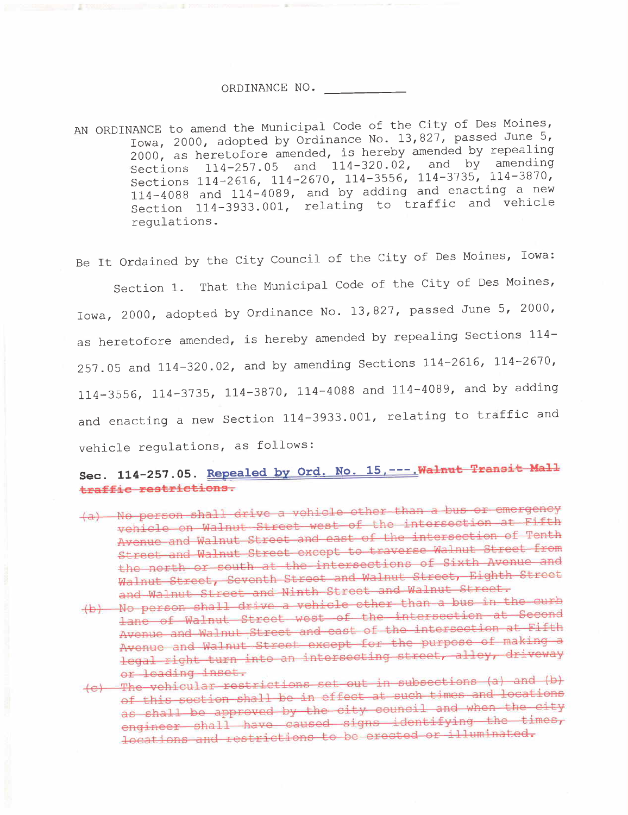#### ORDINANCE NO.

AN ORDINANCE to amend the Municipal Code of the City of Des Moines, Iowa, 2000, adopted by Ordinance No. 13,827, passed June 5, 2000, as heretofore amended, is hereby amended by repealing Sections 114-257.05 and 114-320.02, and by amending Sections 114-2616, 114-2670, 114-3556, 114-3735, 114-3870, 114-4088 and 114-4089, and by adding and enacting a new Section 114-3933.001, relating to traffic and vehicle regulations.

Be It Ordained by the City Council of the City of Des Moines, Iowa:

Section 1. That the Municipal Code of the City of Des Moines, Iowa, 2000, adopted by Ordinance No. 13,827, passed June 5, 2000, as heretofore amended, is hereby amended by repealing Sections 114- 257.05 and 114-320.02, and by amending Sections 114-2616, 114-2670, 114-3556, 114-3735, 114-3870, 114-4088 and 114-4089, and by adding and enacting a new Section 114-3933.001, relating to traffic and vehicle regulations, as follows:

### Sec. 114-257.05. Repealed by Ord. No. 15, ---. Walnut Transit Mall traffic restrictions.

- (a) No person shall drive a vehicle other than a see or the second or existing vehicle on Walnut Street west of the intersection of Tanth Avenue and Walnut Street and east of the intersection of Tenth Street and Walnut Street except to traverse Walnut Street from the north or south at the intersections of Sixth Avenue and Walnut Street, Seventh Street and Walnut Street, Eighth Street
- and Walnut Street and Ninth Street and Walnut Street.<br>(b) No person shall drive a vehicle other than a bus in the curb (b) No person shall drive a vehicle other than a bue in Second lane of Walnut Street west of the intersection at Second Avenue and Walnut Street and east of the intersection at Fifth Avenue and Walnut Street except for the purpose of making a legal right turn into an intersecting street, alley, driveway
- or loading inset.<br>(c) The vehicular restrictions set out in subsections (a) and (b) (c) The vehicular restrictions set out in pubblicitions and locations of this section shall be in effect at such timeD and locations as shall be approved by the city council and when the city engineer shall have caused signs identifying the times, locations and restrictions to be erected or illuminated.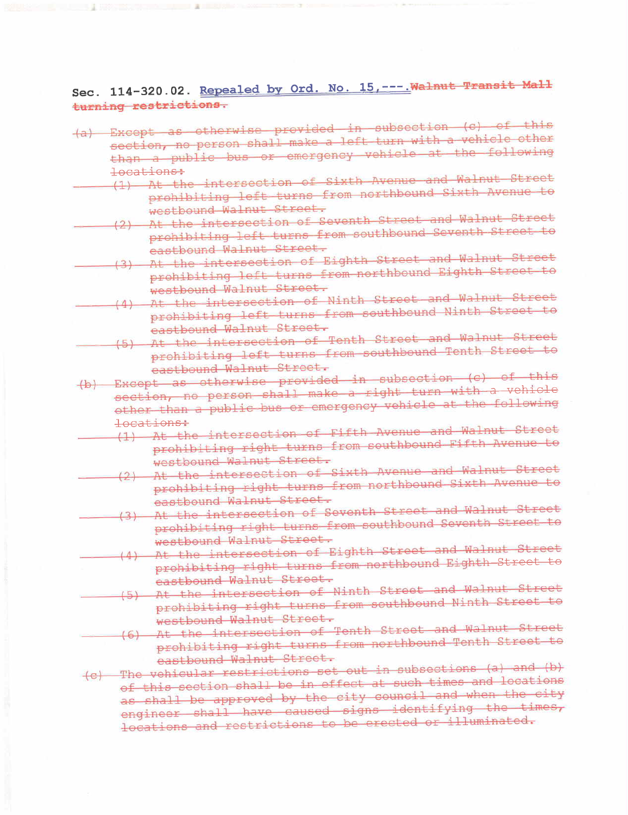Sec. 114-320.02. Repealed by Ord. No. 15, ---. Walnut Transit Mall turning restrictions.

- (a) Except as otherwise provided in subsection (c) of this section, no person shall make a left turn with a vehicle other than a public bus or emergency vehicle at the following locations:
	- (1) At the intersection of Sixth Avenue and Walnut Street (1) At the intersection of Sizing Nucleo and Nucleo to prohibiting left turns from northbound Sixth ;;cndo to
		- westbound Walnut Street.<br>(2) At the intersection of Seventh Street and Walnut Street (2) At the intersection of Seventh Street and W31nut Street to prohibiting left turns from southbound Seventh Street to
			- eastbound Walnut Street.<br>(3) At the intersection of Eighth Street and Walnut Street (3) At the intersection of Eighth Street and Wallis Street to prohibiting left turns from northbound Eighth Street to
	- westbound Walnut Street.<br>(4) At the intersection of Ninth Street and Walnut Street (4) At the intersection of Ninth Street and Minth Street to prohibiting left turns from southbound Ninth Street to
		- eastbound Walnut Street.<br>(5) At the intersection of Tenth Street and Walnut Street (5) At the intersection of Tenth Street and magnetic to prohibiting left turns from southbound fenth Street to
- eastbound Walnut Street.<br>(b) Except as otherwise provided in subsection (c) of this section, no person shall make a right turn with a vehicle other than a public bus or emergency vehicle at the following
	- locations:<br>(1) At the intersection of Fifth Avenue and Walnut Street (1) At the intersection of Fifth Avanue and Market Street to prohibiting right turns from southbound Fifth Avenue to
	- westbound Walnut Street.<br>At the intersection of Sixth Avenue and Walnut Street prohibiting right turns from northbound Sixth Avenue to<br>eastbound Walnut Street.
	- (3) At the intersection of Seventh Street and Walnut Street (3) . At the intersection of Seventh Street and Williams to prohibiting right turns from southbound Seventh Street to
	- westbound Walnut Street.<br>At the intersection of Eighth Street and Walnut Street (4) At the intersection of Eighth Street and Wallie and Watching Street to prohibiting right turns from northbound Eighth Street to
	- eastbound Walnut Street.<br>(5) At the intersection of Ninth Street and Walnut Street (5) At the intersection of Ninth Street and Marker Street to prohibiting right turns from southbound Ninth Street to
		- westbound Walnut Street.<br>(6) At the intersection of Tenth Street and Walnut Street (6) At the intersection of Tenth Street and Marked Street to prohibiting right turns from northbound fenen Street to
- eastbound Walnut Street.<br>(c) The vehicular restrictions set out in subsections (a) and (b) (c) The vehicular restrictions set out in subcections and location of this section shall be in effect at such times and recursive as shall be approved by the city council and when the city engineer shall have caused signs identifying the times, locations and restrictions to be erected or illuminated.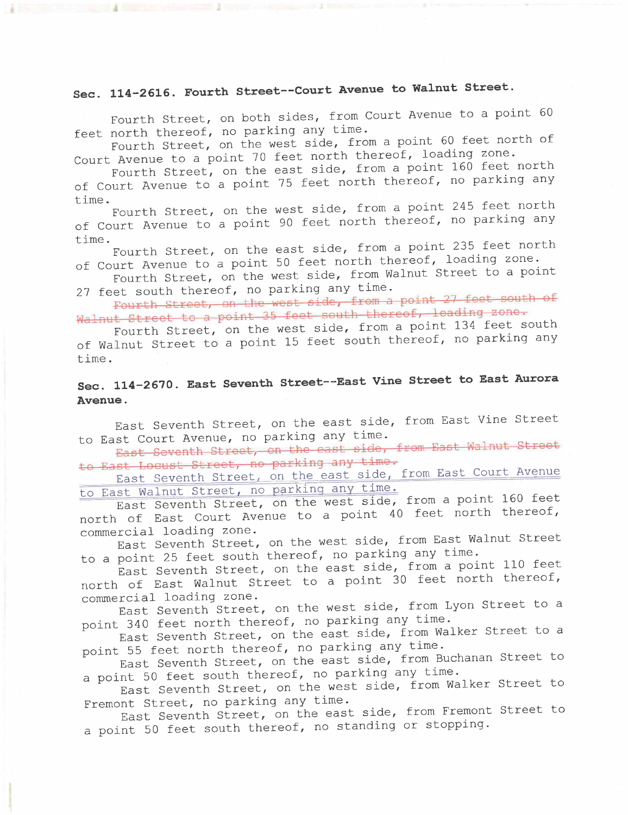### Sec. 114-2616. Fourth Street--Court Avenue to Walnut Street.

Fourth Street, on both sides, from Court Avenue to a point 60 feet north thereof, no parking any time.

Fourth Street, on the west side, from a point 60 feet north of Court Avenue to a point 70 feet north thereof, loading zone.

Fourth Street, on the east side, from a point 160 feet north of Court Avenue to a point 75 feet north thereof, no parking any time.

Fourth Street, on the west side, from a point 245 feet north of Court Avenue to a point 90 feet north thereof, no parking any time.

Fourth Street, on the east side, from a point 235 feet north of Court Avenue to a point 50 feet north thereof, loading zone.

Fourth Street, on the west side, from Walnut Street to a point 27 feet south thereof, no parking any time.

Fourth Street, on the west side, from a point 27 feet south of Walnut Street to a point 35 feet south thereof, loading zone.

Fourth Street, on the west side, from a point 134 feet south of Walnut Street to a point 15 feet south thereof, no parking any time.

### Sec. 114-2670. East Seventh Street--East Vine Street to East Aurora Avenue.

East Seventh Street, on the east side, from East Vine Street to East Court Avenue, no parking any time.

East Seventh Street, on the east side, from East Walnut Street to East Locust Street, no parking any time.

East Seventh Street, on the east side, from East Court Avenue to East Walnut Street, no parkinq any time.

East Seventh Street, on the west side, from a point 160 feet north of East Court Avenue to a point 40 feet north thereof, commercial loading zone.

East Seventh Street, on the west side, from East Walnut Street to a point 25 feet south thereof, no parking any time.

East Seventh Street, on the east side, from a point 110 feet north of East Walnut Street to a point 30 feet north thereof, commercial loading zone.

East Seventh Street, on the west side, from Lyon Street to a point 340 feet north thereof, no parking any time.

East Seventh Street, on the east side, from Walker Street to a point 55 feet north thereof, no parking any time.

East Seventh Street, on the east side, from Buchanan Street to a point 50 feet south thereof, no parking any time.

East Seventh Street, on the west side, from Walker Street to Fremont Street, no parking any time.

East Seventh Street, on the east side, from Fremont Street to a point 50 feet south thereof, no standing or stopping.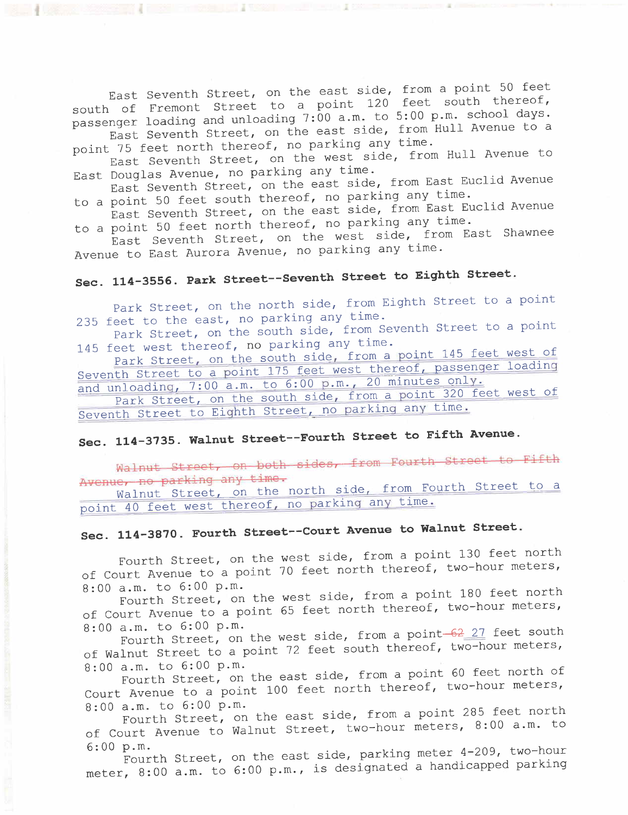East Seventh Street, on the east side, from a point  $f_{\text{net}}$  thereof. south of Fremont Street to a point 120 feet south the point passenger loading and unloading 7:00 a.m. to 5:00 p.m. school days. East Seventh Street, on the east side, from Hull Avenue to a point 75 feet north thereof, no parking any time.

point 75 feet north thereof, no parking any ermore East Seventh Street, on the west side, from Hull Avenue

East Douglas Avenue, no parking any time. East Seventh Street, on the east side, from East Euclide

to a point 50 feet south thereof, no parking any time. East Seventh Street, on the east side, from East Europe

to a point 50 feet north thereof, no parking any time. East Seventh Street, on the west side, from East Shawneed Avenue to East Aurora Avenue, no parking any time.

# Sec. 114-3556. Park Street--Seventh street to Eighth Street.

Park Street, on the north side, from Eighth Street to a point<br>235 feet to the east, no parking any time.

235 feet to the east, no parking any cime. Park Street, on the south side, from Seventh Service to a point

145 feet west thereof, no parking any time.<br>Park Street, on the south side, from a point 145 feet west of Park Street, on the south side, from a point 115 feet of parameter Seventh Street to a point  $\frac{175 \text{ feet}}{20 \text{ m}} \approx 20 \text{ minutes}$  only. and unloadinq, 7:00 a.m. to 6:00 p.m., 20 minutes only.

Park Street, on the south side, from a point 320 feet west of Seventh Street to Eiqhth Street, no parkinq any time.

# Sec. 114-3735. Walnut Street--Fourth Street to Fifth Avenue.

Walnut Street, on both sides, from Fourth Street to Fifth Avenue, no parking any time.

Walnut Street, on the north side, from Fourth Street to a point 40 feet west thereof, no parkinq any time.

# Sec. 114-3870. Fourth Street--Court Avenue to Walnut Street.

Fourth Street, on the west side, from a point 130 feet north of Court Avenue to a point 70 feet north thereof, the

8:00 a.m. to 6:00 p.m.<br>Fourth Street, on the west side, from a point 180 feet north Fourth Street, on the west side, from a point 180 feet no. of Court Avenue to a point 65 feet north thereof, the feature

8:00 a.m. to  $6:00$  p.m.<br>Fourth Street, on the west side, from a point- $62$  27 feet south of Walnut Street to a point 72 feet south thereof, two-hour meters,

8:00 a.m. to 6:00 p.m.<br>Fourth Street, on the east side, from a point 60 feet north of Fourth Street, on the east side, from a point 60 feet north that Court Avenue to a point 100 feet north thereor, the meters 8:00 a.m. to 6:00 p.m.

Fourth Street, on the east side, from a point 285 feet north of Court Avenue to Walnut Street, two-hour meters, 8: 00 a .m. to

6:00 p.m.<br>Fourth Street, on the east side, parking meter 4-209, two-hour Fourth Street, on the east side, parking meter 4-2007, the parking meter,  $8:00$  a.m. to 6:00 p.m., is designated a handle-parking parking